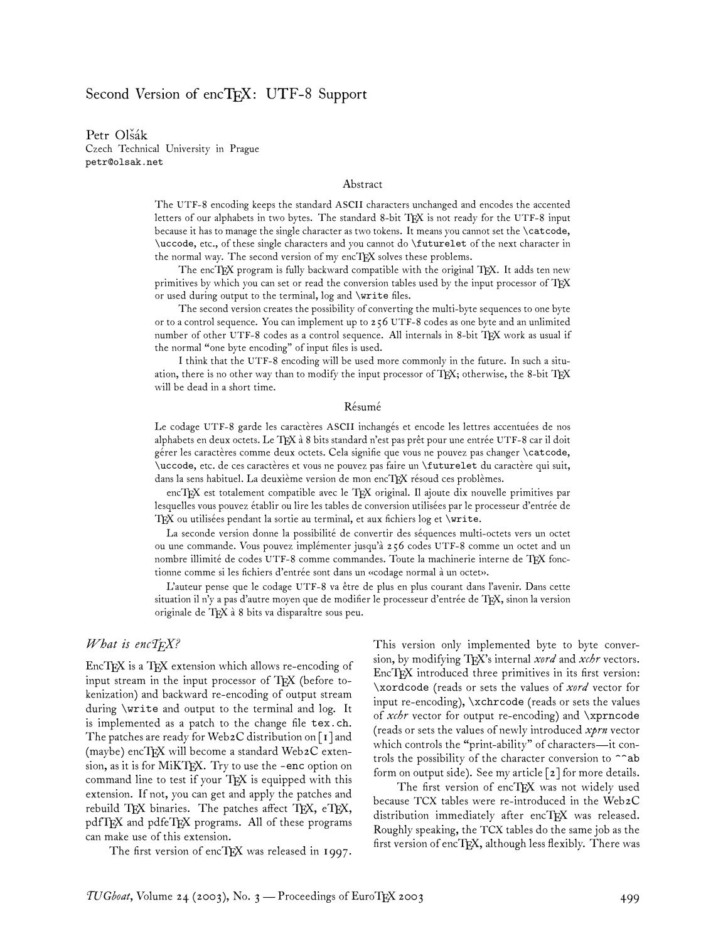# Second Version of encTEX: UTF-8 Support

Petr Olšák Czech Technical University in Prague petr@olsak.net

#### Abstract

The UTF-8 encoding keeps the standard ASCII characters unchanged and encodes the accented letters of our alphabets in two bytes. The standard 8-bit TFX is not ready for the UTF-8 input because it has to manage the single character as two tokens. It means you cannot set the \catcode, \uccode, etc., of these single characters and you cannot do \futurelet of the next character in the normal way. The second version of my encTFX solves these problems.

The encTEX program is fully backward compatible with the original TEX. It adds ten new primitives by which you can set or read the conversion tables used by the input processor of TEX or used during output to the terminal, log and \write files.

The second version creates the possibility of converting the multi-byte sequences to one byte or to a control sequence. You can implement up to 256 UTF-8 codes as one byte and an unlimited number of other UTF-8 codes as a control sequence. All internals in 8-bit TEX work as usual if the normal "one byte encoding" of input files is used.

I think that the UTF-8 encoding will be used more commonly in the future. In such a situation, there is no other way than to modify the input processor of TFX; otherwise, the 8-bit TFX will be dead in a short time.

#### Résumé

Le codage UTF-8 garde les caractères ASCII inchangés et encode les lettres accentuées de nos alphabets en deux octets. Le TPX à 8 bits standard n'est pas prêt pour une entrée UTF-8 car il doit gérer les caractères comme deux octets. Cela signifie que vous ne pouvez pas changer \catcode, \uccode, etc. de ces caractères et vous ne pouvez pas faire un \futurelet du caractère qui suit, dans la sens habituel. La deuxième version de mon encTFX résoud ces problèmes.

encTEX est totalement compatible avec le TEX original. Il ajoute dix nouvelle primitives par lesquelles vous pouvez établir ou lire les tables de conversion utilisées par le processeur d'entrée de  $T_{\rm E}$ X ou utilisées pendant la sortie au terminal, et aux fichiers log et \write.

La seconde version donne la possibilité de convertir des séquences multi-octets vers un octet ou une commande. Vous pouvez implémenter jusqu'à 256 codes UTF-8 comme un octet and un nombre illimité de codes UTF-8 comme commandes. Toute la machinerie interne de TEX fonctionne comme si les fichiers d'entrée sont dans un «codage normal à un octet».

L'auteur pense que le codage UTF-8 va être de plus en plus courant dans l'avenir. Dans cette situation il n'y a pas d'autre moyen que de modifier le processeur d'entrée de TEX, sinon la version originale de TEX à 8 bits va disparaître sous peu.

#### *What is encTEX?*

EncTEX is a TEX extension which allows re-encoding of input stream in the input processor of TEX (before tokenization) and backward re-encoding of output stream during \write and output to the terminal and log. It is implemented as a patch to the change file tex.ch. The patches are ready for Web2C distribution on [1] and (maybe) enc $T_{\rm F}X$  will become a standard Web2C extension, as it is for MiKTEX. Try to use the -enc option on command line to test if your  $T_{F}X$  is equipped with this extension. If not, you can get and apply the patches and rebuild TEX binaries. The patches affect TEX,  $e$ TEX, pdfTEX and pdfeTEX programs. All of these programs can make use of this extension.

The first version of encTEX was released in  $1997$ .

This version only implemented byte to byte conversion, by modifying TEX's internal *xord* and *xchr* vectors. EncT<sub>E</sub>X introduced three primitives in its first version: \xordcode (reads or sets the values of *xord* vector for input re-encoding), \xchrcode (reads or sets the values of *xchr* vector for output re-encoding) and \xprncode (reads or sets the values of newly introduced *xprn* vector which controls the "print-ability" of characters—it controls the possibility of the character conversion to  $\hat{\ }$ ab form on output side). See my article [2] for more details.

The first version of encTEX was not widely used because TCX tables were re-introduced in the Web2C distribution immediately after encTFX was released. Roughly speaking, the TCX tables do the same job as the first version of encTFX, although less flexibly. There was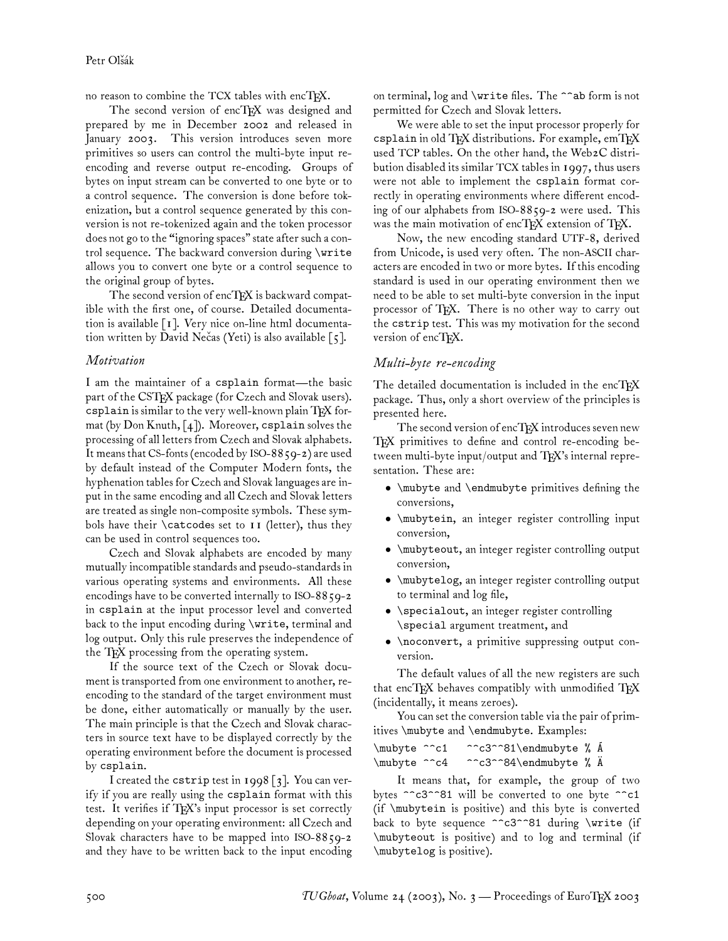no reason to combine the TCX tables with encTFX.

The second version of encTEX was designed and prepared by me in December 2002 and released in January 2003. This version introduces seven more primitives so users can control the multi-byte input reencoding and reverse output re-encoding. Groups of bytes on input stream can be converted to one byte or to a control sequence. The conversion is done before tokenization, but a control sequence generated by this conversion is not re-tokenized again and the token processor does not go to the "ignoring spaces" state after such a control sequence. The backward conversion during \write allows you to convert one byte or a control sequence to the original group of bytes.

The second version of encTFX is backward compatible with the first one, of course. Detailed documentation is available [1]. Very nice on-line html documentation written by David Necas (Yeti) is also available  $\lceil 5 \rceil$ .

### *Motivation*

I am the maintainer of a csplain format—the basic part of the CSTEX package (for Czech and Slovak users). csplain is similar to the very well-known plain TEX format (by Don Knuth,  $\lceil 4 \rceil$ ). Moreover, csplain solves the processing of all letters from Czech and Slovak alphabets. It means that CS-fonts (encoded by ISO-8859-2) are used by default instead of the Computer Modern fonts, the hyphenation tables for Czech and Slovak languages are input in the same encoding and all Czech and Slovak letters are treated as single non-composite symbols. These symbols have their \catcodes set to 11 (letter), thus they can be used in control sequences too.

Czech and Slovak alphabets are encoded by many mutually incompatible standards and pseudo-standards in various operating systems and environments. All these encodings have to be converted internally to ISO-88 $59-2$ in csplain at the input processor level and converted back to the input encoding during \write, terminal and log output. Only this rule preserves the independence of the TEX processing from the operating system.

If the source text of the Czech or Slovak document is transported from one environment to another, reencoding to the standard of the target environment must be done, either automatically or manually by the user. The main principle is that the Czech and Slovak characters in source text have to be displayed correctly by the operating environment before the document is processed by csplain.

I created the cstrip test in 1998 [3]. You can verify if you are really using the csplain format with this test. It verifies if TEX's input processor is set correctly depending on your operating environment: all Czech and Slovak characters have to be mapped into ISO-8859-2 and they have to be written back to the input encoding

on terminal, log and \write files. The ^^ab form is not permitted for Czech and Slovak letters.

We were able to set the input processor properly for csplain in old TFX distributions. For example, emTFX used TCP tables. On the other hand, the Web2C distribution disabled its similar TCX tables in 1997, thus users were not able to implement the csplain format correctly in operating environments where different encoding of our alphabets from ISO-8859-2 were used. This was the main motivation of encTFX extension of TFX.

Now, the new encoding standard UTF-8, derived from Unicode, is used very often. The non-ASCII characters are encoded in two or more bytes. If this encoding standard is used in our operating environment then we need to be able to set multi-byte conversion in the input processor of TFX. There is no other way to carry out the cstrip test. This was my motivation for the second version of encTEX.

## *Multi-byte re-encoding*

The detailed documentation is included in the encTFX package. Thus, only a short overview of the principles is presented here.

The second version of encTFX introduces seven new TEX primitives to define and control re-encoding between multi-byte input/output and TEX's internal representation. These are:

- \mubyte and \endmubyte primitives defining the conversions,
- \mubytein, an integer register controlling input conversion,
- \mubyteout, an integer register controlling output conversion,
- \mubytelog, an integer register controlling output to terminal and log file,
- \specialout, an integer register controlling \special argument treatment, and
- \noconvert, a primitive suppressing output conversion.

The default values of all the new registers are such that encTEX behaves compatibly with unmodified TEX (incidentally, it means zeroes).

You can set the conversion table via the pair of primitives \mubyte and \endmubyte. Examples:

| \mubyte ^^c1 | ^^c3^^81\endmubyte % A |  |
|--------------|------------------------|--|
| \mubyte ^^c4 | ^^c3^^84\endmubyte % A |  |

It means that, for example, the group of two bytes ^^c3^^81 will be converted to one byte ^^c1 (if \mubytein is positive) and this byte is converted back to byte sequence ^^c3^^81 during \write (if \mubyteout is positive) and to log and terminal (if \mubytelog is positive).